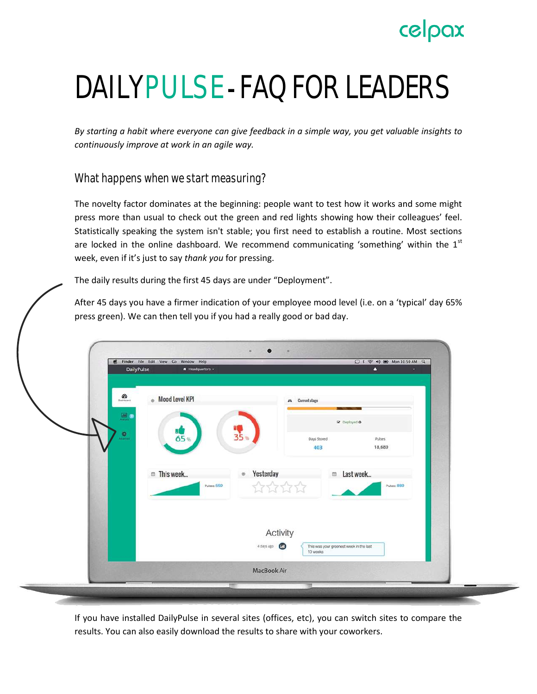# celpax

# DAILYPULSE - FAQ FOR LEADERS

*By starting a habit where everyone can give feedback in a simple way, you get valuable insights to continuously improve at work in an agile way.*

What happens when we start measuring?

The novelty factor dominates at the beginning: people want to test how it works and some might press more than usual to check out the green and red lights showing how their colleagues' feel. Statistically speaking the system isn't stable; you first need to establish a routine. Most sections are locked in the online dashboard. We recommend communicating 'something' within the  $1<sup>st</sup>$ week, even if it's just to say *thank you* for pressing.

The daily results during the first 45 days are under "Deployment".

After 45 days you have a firmer indication of your employee mood level (i.e. on a 'typical' day 65% press green). We can then tell you if you had a really good or bad day.

| $\frac{d\theta}{d\theta}$<br>Mood Level KPI<br><b>A</b> Current stage<br>國<br>St Deployed O<br>$\frac{1}{35}$ %<br>2.<br>65%<br>Days Stored<br>Pulses<br>18,689<br>403<br>Yesterday<br><sup>m</sup> This week<br>m Last week<br>$_{\odot}$<br>****<br>Pulses: 559<br>Pulses: 889<br>Activity<br>4 days ago<br>This was your greenest week in the last<br>10 weeks | Finder File Edit View Go Window Help<br>DailyPulse<br>* Headquarters = | ○ * 令 # ■ Mon 10:50 AM Q<br>٠<br>× |  |
|-------------------------------------------------------------------------------------------------------------------------------------------------------------------------------------------------------------------------------------------------------------------------------------------------------------------------------------------------------------------|------------------------------------------------------------------------|------------------------------------|--|
|                                                                                                                                                                                                                                                                                                                                                                   |                                                                        |                                    |  |
|                                                                                                                                                                                                                                                                                                                                                                   |                                                                        |                                    |  |
|                                                                                                                                                                                                                                                                                                                                                                   |                                                                        |                                    |  |
|                                                                                                                                                                                                                                                                                                                                                                   |                                                                        |                                    |  |
|                                                                                                                                                                                                                                                                                                                                                                   |                                                                        |                                    |  |
|                                                                                                                                                                                                                                                                                                                                                                   |                                                                        |                                    |  |
|                                                                                                                                                                                                                                                                                                                                                                   |                                                                        |                                    |  |
| MacBook Air                                                                                                                                                                                                                                                                                                                                                       |                                                                        |                                    |  |

If you have installed DailyPulse in several sites (offices, etc), you can switch sites to compare the results. You can also easily download the results to share with your coworkers.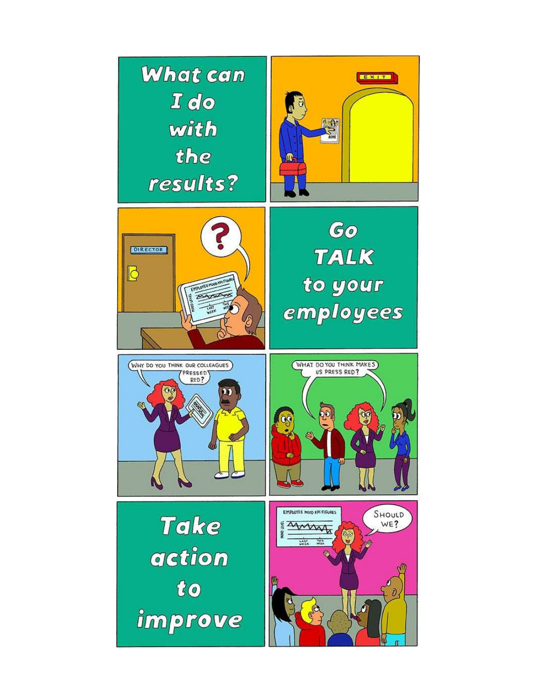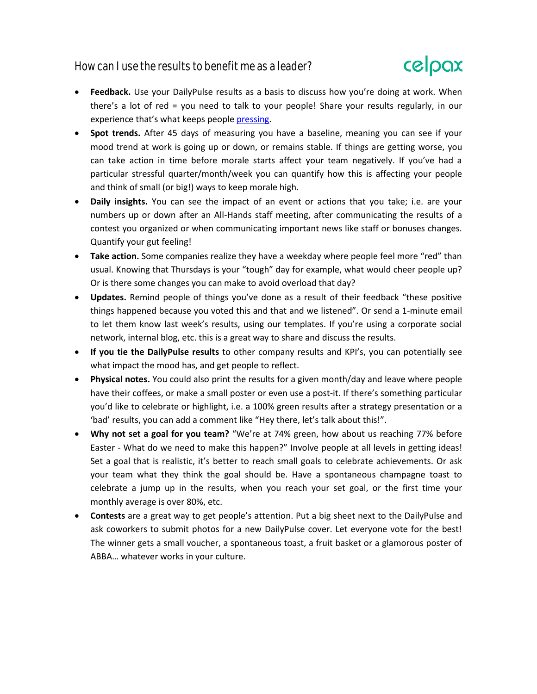# How can I use the results to benefit me as a leader?



- **Feedback.** Use your DailyPulse results as a basis to discuss how you're doing at work. When there's a lot of red = you need to talk to your people! Share your results regularly, in our experience that's what keeps people [pressing.](http://www.celpax.com/keeps-employees-pressing-daily-pulse-even-1-year/)
- **Spot trends.** After 45 days of measuring you have a baseline, meaning you can see if your mood trend at work is going up or down, or remains stable. If things are getting worse, you can take action in time before morale starts affect your team negatively. If you've had a particular stressful quarter/month/week you can quantify how this is affecting your people and think of small (or big!) ways to keep morale high.
- **Daily insights.** You can see the impact of an event or actions that you take; i.e. are your numbers up or down after an All-Hands staff meeting, after communicating the results of a contest you organized or when communicating important news like staff or bonuses changes. Quantify your gut feeling!
- **Take action.** Some companies realize they have a weekday where people feel more "red" than usual. Knowing that Thursdays is your "tough" day for example, what would cheer people up? Or is there some changes you can make to avoid overload that day?
- **Updates.** Remind people of things you've done as a result of their feedback "these positive things happened because you voted this and that and we listened". Or send a 1-minute email to let them know last week's results, using our templates. If you're using a corporate social network, internal blog, etc. this is a great way to share and discuss the results.
- **If you tie the DailyPulse results** to other company results and KPI's, you can potentially see what impact the mood has, and get people to reflect.
- **Physical notes.** You could also print the results for a given month/day and leave where people have their coffees, or make a small poster or even use a post-it. If there's something particular you'd like to celebrate or highlight, i.e. a 100% green results after a strategy presentation or a 'bad' results, you can add a comment like "Hey there, let's talk about this!".
- **Why not set a goal for you team?** "We're at 74% green, how about us reaching 77% before Easter - What do we need to make this happen?" Involve people at all levels in getting ideas! Set a goal that is realistic, it's better to reach small goals to celebrate achievements. Or ask your team what they think the goal should be. Have a spontaneous champagne toast to celebrate a jump up in the results, when you reach your set goal, or the first time your monthly average is over 80%, etc.
- **Contests** are a great way to get people's attention. Put a big sheet next to the DailyPulse and ask coworkers to submit photos for a new DailyPulse cover. Let everyone vote for the best! The winner gets a small voucher, a spontaneous toast, a fruit basket or a glamorous poster of ABBA… whatever works in your culture.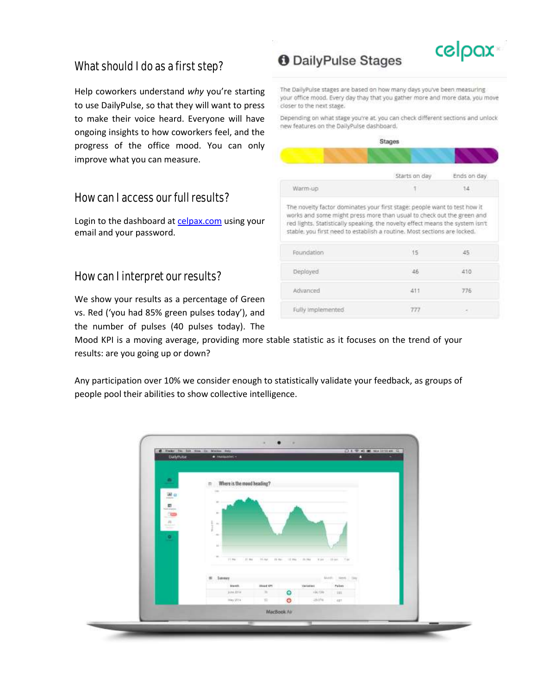# What should I do as a first step?

Help coworkers understand *why* you're starting to use DailyPulse, so that they will want to press to make their voice heard. Everyone will have ongoing insights to how coworkers feel, and the progress of the office mood. You can only improve what you can measure.

#### How can I access our full results?

Login to the dashboard at [celpax.com](https://celpax.com/) using your email and your password.

#### How can I interpret our results?

We show your results as a percentage of Green vs. Red ('you had 85% green pulses today'), and the number of pulses (40 pulses today). The

Mood KPI is a moving average, providing more stable statistic as it focuses on the trend of your results: are you going up or down?

Any participation over 10% we consider enough to statistically validate your feedback, as groups of people pool their abilities to show collective intelligence.



# **O** DailyPulse Stages

The DailyPulse stages are based on how many days you've been measuring your office mood. Every day thay that you gather more and more data, you move closer to the next stage.

celpax

Depending on what stage you're at, you can check different sections and unlock new features on the DailyPulse dashboard.

|                                                                                                                                                                                     | Stages               |             |
|-------------------------------------------------------------------------------------------------------------------------------------------------------------------------------------|----------------------|-------------|
|                                                                                                                                                                                     |                      |             |
|                                                                                                                                                                                     | Starts on day        | Ends on day |
| Warm-up                                                                                                                                                                             | <b>College</b><br>Ťī | 14          |
| works and some might press more than usual to check out the green and                                                                                                               |                      |             |
|                                                                                                                                                                                     |                      |             |
| red lights. Statistically speaking, the novelty effect means the system isn't<br>stable, you first need to establish a routine. Most sections are locked.<br>Foundation<br>Deployed | 15<br>46             | 45.<br>410  |
| Advanced                                                                                                                                                                            | 411                  | 776         |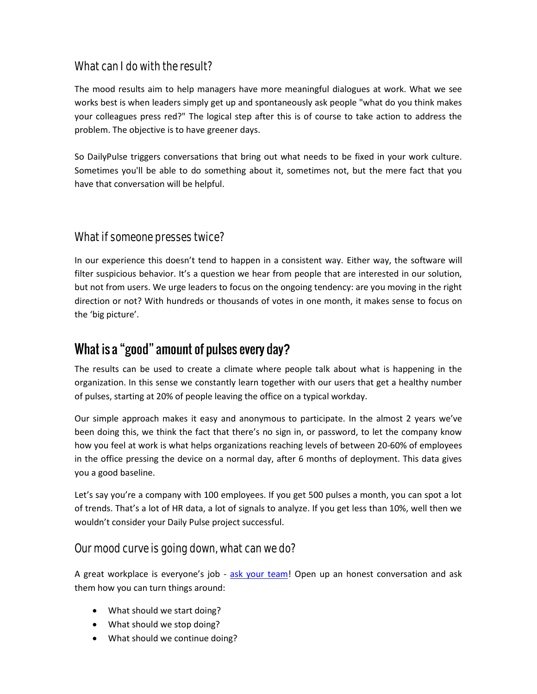# What can I do with the result?

The mood results aim to help managers have more meaningful dialogues at work. What we see works best is when leaders simply get up and spontaneously ask people "what do you think makes your colleagues press red?" The logical step after this is of course to take action to address the problem. The objective is to have greener days.

So DailyPulse triggers conversations that bring out what needs to be fixed in your work culture. Sometimes you'll be able to do something about it, sometimes not, but the mere fact that you have that conversation will be helpful.

### What if someone presses twice?

In our experience this doesn't tend to happen in a consistent way. Either way, the software will filter suspicious behavior. It's a question we hear from people that are interested in our solution, but not from users. We urge leaders to focus on the ongoing tendency: are you moving in the right direction or not? With hundreds or thousands of votes in one month, it makes sense to focus on the 'big picture'.

# What is a "good" amount of pulses every day?

The results can be used to create a climate where people talk about what is happening in the organization. In this sense we constantly learn together with our users that get a healthy number of pulses, starting at 20% of people leaving the office on a typical workday.

Our simple approach makes it easy and anonymous to participate. In the almost 2 years we've been doing this, we think the fact that there's no sign in, or password, to let the company know how you feel at work is what helps organizations reaching levels of between 20-60% of employees in the office pressing the device on a normal day, after 6 months of deployment. This data gives you a good baseline.

Let's say you're a company with 100 employees. If you get 500 pulses a month, you can spot a lot of trends. That's a lot of HR data, a lot of signals to analyze. If you get less than 10%, well then we wouldn't consider your Daily Pulse project successful.

#### Our mood curve is going down, what can we do?

A great workplace is everyone's job - [ask your team!](http://www.celpax.com/red-something-isnt-good/) Open up an honest conversation and ask them how you can turn things around:

- What should we start doing?
- What should we stop doing?
- What should we continue doing?